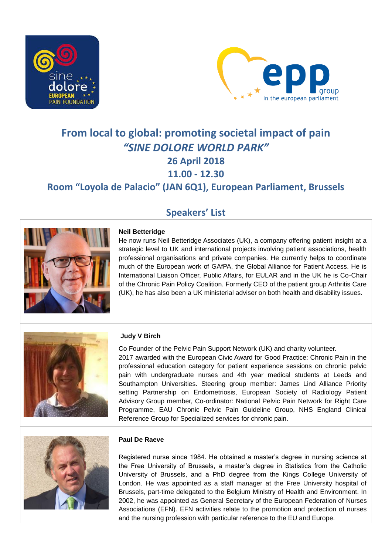



# **From local to global: promoting societal impact of pain**  *"SINE DOLORE WORLD PARK"* **26 April 2018 11.00 - 12.30 Room "Loyola de Palacio" (JAN 6Q1), European Parliament, Brussels**

# **Speakers' List**



## **Neil Betteridge**

He now runs Neil Betteridge Associates (UK), a company offering patient insight at a strategic level to UK and international projects involving patient associations, health professional organisations and private companies. He currently helps to coordinate much of the European work of GAfPA, the Global Alliance for Patient Access. He is International Liaison Officer, Public Affairs, for EULAR and in the UK he is Co-Chair of the Chronic Pain Policy Coalition. Formerly CEO of the patient group Arthritis Care (UK), he has also been a UK ministerial adviser on both health and disability issues.



## **Judy V Birch**

Co Founder of the Pelvic Pain Support Network (UK) and charity volunteer. 2017 awarded with the European Civic Award for Good Practice: Chronic Pain in the professional education category for patient experience sessions on chronic pelvic pain with undergraduate nurses and 4th year medical students at Leeds and Southampton Universities. Steering group member: James Lind Alliance Priority setting Partnership on Endometriosis, European Society of Radiology Patient Advisory Group member, Co-ordinator: National Pelvic Pain Network for Right Care Programme, EAU Chronic Pelvic Pain Guideline Group, NHS England Clinical Reference Group for Specialized services for chronic pain.



#### **Paul De Raeve**

Registered nurse since 1984. He obtained a master's degree in nursing science at the Free University of Brussels, a master's degree in Statistics from the Catholic University of Brussels, and a PhD degree from the Kings College University of London. He was appointed as a staff manager at the Free University hospital of Brussels, part-time delegated to the Belgium Ministry of Health and Environment. In 2002, he was appointed as General Secretary of the European Federation of Nurses Associations (EFN). EFN activities relate to the promotion and protection of nurses and the nursing profession with particular reference to the EU and Europe.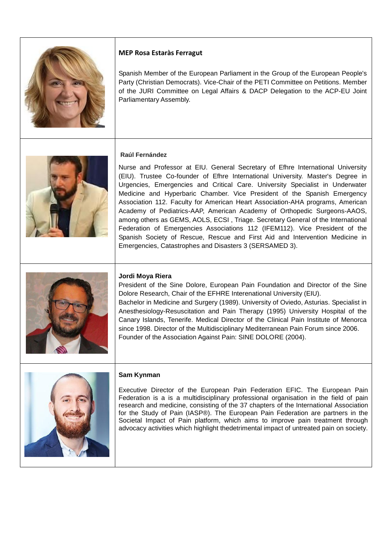

# **MEP Rosa Estaràs Ferragut**

Spanish Member of the European Parliament in the Group of the European People's Party (Christian Democrats). Vice-Chair of the PETI Committee on Petitions. Member of the JURI Committee on Legal Affairs & DACP Delegation to the ACP-EU Joint Parliamentary Assembly.



#### **Raúl Fernández**

Nurse and Professor at EIU. General Secretary of Efhre International University (EIU). Trustee Co-founder of Efhre International University. Master's Degree in Urgencies, Emergencies and Critical Care. University Specialist in Underwater Medicine and Hyperbaric Chamber. Vice President of the Spanish Emergency Association 112. Faculty for American Heart Association-AHA programs, American Academy of Pediatrics-AAP, American Academy of Orthopedic Surgeons-AAOS, among others as GEMS, AOLS, ECSI , Triage. Secretary General of the International Federation of Emergencies Associations 112 (IFEM112). Vice President of the Spanish Society of Rescue, Rescue and First Aid and Intervention Medicine in Emergencies, Catastrophes and Disasters 3 (SERSAMED 3).



#### **Jordi Moya Riera**

President of the Sine Dolore, European Pain Foundation and Director of the Sine Dolore Research, Chair of the EFHRE Interenational University (EIU). Bachelor in Medicine and Surgery (1989). University of Oviedo, Asturias. Specialist in Anesthesiology-Resuscitation and Pain Therapy (1995) University Hospital of the Canary Islands, Tenerife. Medical Director of the Clinical Pain Institute of Menorca since 1998. Director of the Multidisciplinary Mediterranean Pain Forum since 2006. Founder of the Association Against Pain: SINE DOLORE (2004).



#### **Sam Kynman**

Executive Director of the European Pain Federation EFIC. The European Pain Federation is a is a multidisciplinary professional organisation in the field of pain research and medicine, consisting of the 37 chapters of the International Association for the Study of Pain (IASP®). The European Pain Federation are partners in the Societal Impact of Pain platform, which aims to improve pain treatment through advocacy activities which highlight thedetrimental impact of untreated pain on society.